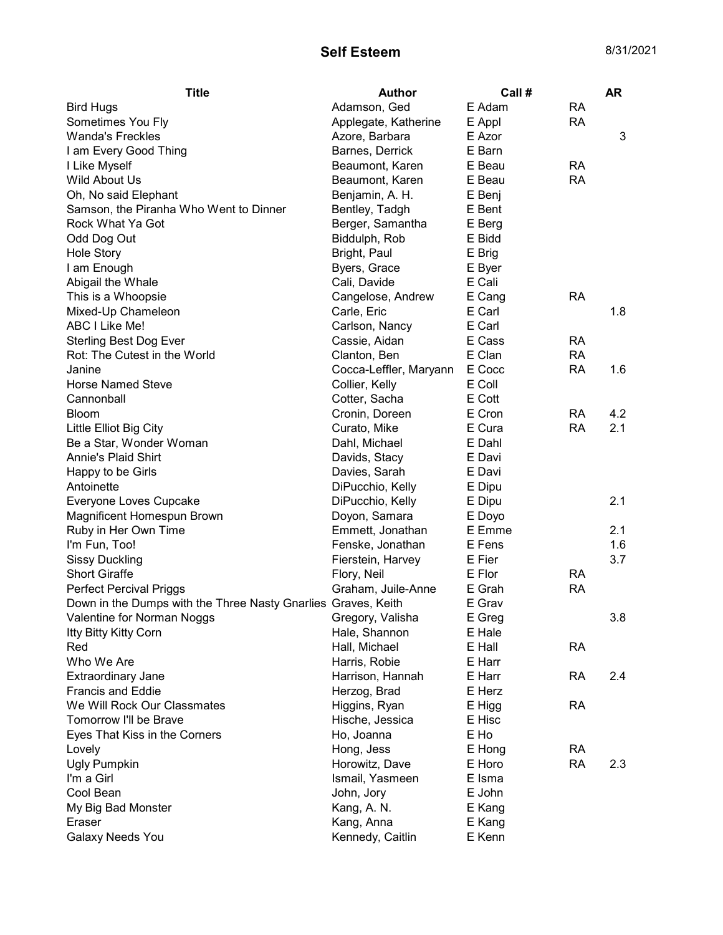## Self Esteem 8/31/2021

| Adamson, Ged<br>E Adam<br><b>RA</b><br><b>Bird Hugs</b><br><b>RA</b><br>Sometimes You Fly<br>Applegate, Katherine<br>E Appl<br><b>Wanda's Freckles</b><br>3<br>Azore, Barbara<br>E Azor<br>I am Every Good Thing<br>E Barn<br>Barnes, Derrick<br>I Like Myself<br>Beaumont, Karen<br>E Beau<br><b>RA</b><br>Wild About Us<br><b>RA</b><br>E Beau<br>Beaumont, Karen<br>Oh, No said Elephant<br>Benjamin, A. H.<br>E Benj<br>Bentley, Tadgh<br>E Bent<br>Samson, the Piranha Who Went to Dinner<br>Rock What Ya Got<br>Berger, Samantha<br>E Berg<br>E Bidd<br>Odd Dog Out<br>Biddulph, Rob<br>E Brig<br><b>Hole Story</b><br>Bright, Paul<br>I am Enough<br>E Byer<br>Byers, Grace<br>Abigail the Whale<br>Cali, Davide<br>E Cali<br>This is a Whoopsie<br>E Cang<br><b>RA</b><br>Cangelose, Andrew<br>Mixed-Up Chameleon<br>E Carl<br>1.8<br>Carle, Eric<br>E Carl<br>ABC I Like Me!<br>Carlson, Nancy<br><b>Sterling Best Dog Ever</b><br>Cassie, Aidan<br>E Cass<br><b>RA</b><br>Rot: The Cutest in the World<br>E Clan<br><b>RA</b><br>Clanton, Ben<br>Cocca-Leffler, Maryann<br>E Cocc<br><b>RA</b><br>Janine<br>1.6<br>E Coll<br><b>Horse Named Steve</b><br>Collier, Kelly<br>Cannonball<br>Cotter, Sacha<br>E Cott<br>E Cron<br>4.2<br>Cronin, Doreen<br>RA<br><b>Bloom</b><br>2.1<br>E Cura<br><b>RA</b><br>Little Elliot Big City<br>Curato, Mike<br>Be a Star, Wonder Woman<br>Dahl, Michael<br>E Dahl<br>Annie's Plaid Shirt<br>Davids, Stacy<br>E Davi<br>Davies, Sarah<br>E Davi<br>Happy to be Girls<br>Antoinette<br>DiPucchio, Kelly<br>E Dipu<br>Everyone Loves Cupcake<br>2.1<br>DiPucchio, Kelly<br>E Dipu<br>Magnificent Homespun Brown<br>Doyon, Samara<br>E Doyo<br>Ruby in Her Own Time<br>Emmett, Jonathan<br>E Emme<br>2.1<br>E Fens<br>1.6<br>I'm Fun, Too!<br>Fenske, Jonathan<br>Fierstein, Harvey<br>E Fier<br>3.7<br><b>Sissy Duckling</b><br><b>Short Giraffe</b><br>Flory, Neil<br>E Flor<br><b>RA</b><br><b>Perfect Percival Priggs</b><br>Graham, Juile-Anne<br>E Grah<br><b>RA</b><br>Down in the Dumps with the Three Nasty Gnarlies Graves, Keith<br>E Grav<br>E Greg<br>3.8<br>Valentine for Norman Noggs <b>State State State Control</b> Gregory, Valisha<br>Itty Bitty Kitty Corn<br>Hale, Shannon<br>E Hale<br>E Hall<br>Hall, Michael<br><b>RA</b><br>Red<br>Who We Are<br>Harris, Robie<br>E Harr<br>E Harr<br>2.4<br><b>Extraordinary Jane</b><br>Harrison, Hannah<br><b>RA</b> | <b>Title</b> | <b>Author</b> | Call # | <b>AR</b> |
|-------------------------------------------------------------------------------------------------------------------------------------------------------------------------------------------------------------------------------------------------------------------------------------------------------------------------------------------------------------------------------------------------------------------------------------------------------------------------------------------------------------------------------------------------------------------------------------------------------------------------------------------------------------------------------------------------------------------------------------------------------------------------------------------------------------------------------------------------------------------------------------------------------------------------------------------------------------------------------------------------------------------------------------------------------------------------------------------------------------------------------------------------------------------------------------------------------------------------------------------------------------------------------------------------------------------------------------------------------------------------------------------------------------------------------------------------------------------------------------------------------------------------------------------------------------------------------------------------------------------------------------------------------------------------------------------------------------------------------------------------------------------------------------------------------------------------------------------------------------------------------------------------------------------------------------------------------------------------------------------------------------------------------------------------------------------------------------------------------------------------------------------------------------------------------------------------------------------------------------------------------------------------------------------------------------------------------------------------------------------------------------------------------------------------------|--------------|---------------|--------|-----------|
|                                                                                                                                                                                                                                                                                                                                                                                                                                                                                                                                                                                                                                                                                                                                                                                                                                                                                                                                                                                                                                                                                                                                                                                                                                                                                                                                                                                                                                                                                                                                                                                                                                                                                                                                                                                                                                                                                                                                                                                                                                                                                                                                                                                                                                                                                                                                                                                                                               |              |               |        |           |
|                                                                                                                                                                                                                                                                                                                                                                                                                                                                                                                                                                                                                                                                                                                                                                                                                                                                                                                                                                                                                                                                                                                                                                                                                                                                                                                                                                                                                                                                                                                                                                                                                                                                                                                                                                                                                                                                                                                                                                                                                                                                                                                                                                                                                                                                                                                                                                                                                               |              |               |        |           |
|                                                                                                                                                                                                                                                                                                                                                                                                                                                                                                                                                                                                                                                                                                                                                                                                                                                                                                                                                                                                                                                                                                                                                                                                                                                                                                                                                                                                                                                                                                                                                                                                                                                                                                                                                                                                                                                                                                                                                                                                                                                                                                                                                                                                                                                                                                                                                                                                                               |              |               |        |           |
|                                                                                                                                                                                                                                                                                                                                                                                                                                                                                                                                                                                                                                                                                                                                                                                                                                                                                                                                                                                                                                                                                                                                                                                                                                                                                                                                                                                                                                                                                                                                                                                                                                                                                                                                                                                                                                                                                                                                                                                                                                                                                                                                                                                                                                                                                                                                                                                                                               |              |               |        |           |
|                                                                                                                                                                                                                                                                                                                                                                                                                                                                                                                                                                                                                                                                                                                                                                                                                                                                                                                                                                                                                                                                                                                                                                                                                                                                                                                                                                                                                                                                                                                                                                                                                                                                                                                                                                                                                                                                                                                                                                                                                                                                                                                                                                                                                                                                                                                                                                                                                               |              |               |        |           |
|                                                                                                                                                                                                                                                                                                                                                                                                                                                                                                                                                                                                                                                                                                                                                                                                                                                                                                                                                                                                                                                                                                                                                                                                                                                                                                                                                                                                                                                                                                                                                                                                                                                                                                                                                                                                                                                                                                                                                                                                                                                                                                                                                                                                                                                                                                                                                                                                                               |              |               |        |           |
|                                                                                                                                                                                                                                                                                                                                                                                                                                                                                                                                                                                                                                                                                                                                                                                                                                                                                                                                                                                                                                                                                                                                                                                                                                                                                                                                                                                                                                                                                                                                                                                                                                                                                                                                                                                                                                                                                                                                                                                                                                                                                                                                                                                                                                                                                                                                                                                                                               |              |               |        |           |
|                                                                                                                                                                                                                                                                                                                                                                                                                                                                                                                                                                                                                                                                                                                                                                                                                                                                                                                                                                                                                                                                                                                                                                                                                                                                                                                                                                                                                                                                                                                                                                                                                                                                                                                                                                                                                                                                                                                                                                                                                                                                                                                                                                                                                                                                                                                                                                                                                               |              |               |        |           |
|                                                                                                                                                                                                                                                                                                                                                                                                                                                                                                                                                                                                                                                                                                                                                                                                                                                                                                                                                                                                                                                                                                                                                                                                                                                                                                                                                                                                                                                                                                                                                                                                                                                                                                                                                                                                                                                                                                                                                                                                                                                                                                                                                                                                                                                                                                                                                                                                                               |              |               |        |           |
|                                                                                                                                                                                                                                                                                                                                                                                                                                                                                                                                                                                                                                                                                                                                                                                                                                                                                                                                                                                                                                                                                                                                                                                                                                                                                                                                                                                                                                                                                                                                                                                                                                                                                                                                                                                                                                                                                                                                                                                                                                                                                                                                                                                                                                                                                                                                                                                                                               |              |               |        |           |
|                                                                                                                                                                                                                                                                                                                                                                                                                                                                                                                                                                                                                                                                                                                                                                                                                                                                                                                                                                                                                                                                                                                                                                                                                                                                                                                                                                                                                                                                                                                                                                                                                                                                                                                                                                                                                                                                                                                                                                                                                                                                                                                                                                                                                                                                                                                                                                                                                               |              |               |        |           |
|                                                                                                                                                                                                                                                                                                                                                                                                                                                                                                                                                                                                                                                                                                                                                                                                                                                                                                                                                                                                                                                                                                                                                                                                                                                                                                                                                                                                                                                                                                                                                                                                                                                                                                                                                                                                                                                                                                                                                                                                                                                                                                                                                                                                                                                                                                                                                                                                                               |              |               |        |           |
|                                                                                                                                                                                                                                                                                                                                                                                                                                                                                                                                                                                                                                                                                                                                                                                                                                                                                                                                                                                                                                                                                                                                                                                                                                                                                                                                                                                                                                                                                                                                                                                                                                                                                                                                                                                                                                                                                                                                                                                                                                                                                                                                                                                                                                                                                                                                                                                                                               |              |               |        |           |
|                                                                                                                                                                                                                                                                                                                                                                                                                                                                                                                                                                                                                                                                                                                                                                                                                                                                                                                                                                                                                                                                                                                                                                                                                                                                                                                                                                                                                                                                                                                                                                                                                                                                                                                                                                                                                                                                                                                                                                                                                                                                                                                                                                                                                                                                                                                                                                                                                               |              |               |        |           |
|                                                                                                                                                                                                                                                                                                                                                                                                                                                                                                                                                                                                                                                                                                                                                                                                                                                                                                                                                                                                                                                                                                                                                                                                                                                                                                                                                                                                                                                                                                                                                                                                                                                                                                                                                                                                                                                                                                                                                                                                                                                                                                                                                                                                                                                                                                                                                                                                                               |              |               |        |           |
|                                                                                                                                                                                                                                                                                                                                                                                                                                                                                                                                                                                                                                                                                                                                                                                                                                                                                                                                                                                                                                                                                                                                                                                                                                                                                                                                                                                                                                                                                                                                                                                                                                                                                                                                                                                                                                                                                                                                                                                                                                                                                                                                                                                                                                                                                                                                                                                                                               |              |               |        |           |
|                                                                                                                                                                                                                                                                                                                                                                                                                                                                                                                                                                                                                                                                                                                                                                                                                                                                                                                                                                                                                                                                                                                                                                                                                                                                                                                                                                                                                                                                                                                                                                                                                                                                                                                                                                                                                                                                                                                                                                                                                                                                                                                                                                                                                                                                                                                                                                                                                               |              |               |        |           |
|                                                                                                                                                                                                                                                                                                                                                                                                                                                                                                                                                                                                                                                                                                                                                                                                                                                                                                                                                                                                                                                                                                                                                                                                                                                                                                                                                                                                                                                                                                                                                                                                                                                                                                                                                                                                                                                                                                                                                                                                                                                                                                                                                                                                                                                                                                                                                                                                                               |              |               |        |           |
|                                                                                                                                                                                                                                                                                                                                                                                                                                                                                                                                                                                                                                                                                                                                                                                                                                                                                                                                                                                                                                                                                                                                                                                                                                                                                                                                                                                                                                                                                                                                                                                                                                                                                                                                                                                                                                                                                                                                                                                                                                                                                                                                                                                                                                                                                                                                                                                                                               |              |               |        |           |
|                                                                                                                                                                                                                                                                                                                                                                                                                                                                                                                                                                                                                                                                                                                                                                                                                                                                                                                                                                                                                                                                                                                                                                                                                                                                                                                                                                                                                                                                                                                                                                                                                                                                                                                                                                                                                                                                                                                                                                                                                                                                                                                                                                                                                                                                                                                                                                                                                               |              |               |        |           |
|                                                                                                                                                                                                                                                                                                                                                                                                                                                                                                                                                                                                                                                                                                                                                                                                                                                                                                                                                                                                                                                                                                                                                                                                                                                                                                                                                                                                                                                                                                                                                                                                                                                                                                                                                                                                                                                                                                                                                                                                                                                                                                                                                                                                                                                                                                                                                                                                                               |              |               |        |           |
|                                                                                                                                                                                                                                                                                                                                                                                                                                                                                                                                                                                                                                                                                                                                                                                                                                                                                                                                                                                                                                                                                                                                                                                                                                                                                                                                                                                                                                                                                                                                                                                                                                                                                                                                                                                                                                                                                                                                                                                                                                                                                                                                                                                                                                                                                                                                                                                                                               |              |               |        |           |
|                                                                                                                                                                                                                                                                                                                                                                                                                                                                                                                                                                                                                                                                                                                                                                                                                                                                                                                                                                                                                                                                                                                                                                                                                                                                                                                                                                                                                                                                                                                                                                                                                                                                                                                                                                                                                                                                                                                                                                                                                                                                                                                                                                                                                                                                                                                                                                                                                               |              |               |        |           |
|                                                                                                                                                                                                                                                                                                                                                                                                                                                                                                                                                                                                                                                                                                                                                                                                                                                                                                                                                                                                                                                                                                                                                                                                                                                                                                                                                                                                                                                                                                                                                                                                                                                                                                                                                                                                                                                                                                                                                                                                                                                                                                                                                                                                                                                                                                                                                                                                                               |              |               |        |           |
|                                                                                                                                                                                                                                                                                                                                                                                                                                                                                                                                                                                                                                                                                                                                                                                                                                                                                                                                                                                                                                                                                                                                                                                                                                                                                                                                                                                                                                                                                                                                                                                                                                                                                                                                                                                                                                                                                                                                                                                                                                                                                                                                                                                                                                                                                                                                                                                                                               |              |               |        |           |
|                                                                                                                                                                                                                                                                                                                                                                                                                                                                                                                                                                                                                                                                                                                                                                                                                                                                                                                                                                                                                                                                                                                                                                                                                                                                                                                                                                                                                                                                                                                                                                                                                                                                                                                                                                                                                                                                                                                                                                                                                                                                                                                                                                                                                                                                                                                                                                                                                               |              |               |        |           |
|                                                                                                                                                                                                                                                                                                                                                                                                                                                                                                                                                                                                                                                                                                                                                                                                                                                                                                                                                                                                                                                                                                                                                                                                                                                                                                                                                                                                                                                                                                                                                                                                                                                                                                                                                                                                                                                                                                                                                                                                                                                                                                                                                                                                                                                                                                                                                                                                                               |              |               |        |           |
|                                                                                                                                                                                                                                                                                                                                                                                                                                                                                                                                                                                                                                                                                                                                                                                                                                                                                                                                                                                                                                                                                                                                                                                                                                                                                                                                                                                                                                                                                                                                                                                                                                                                                                                                                                                                                                                                                                                                                                                                                                                                                                                                                                                                                                                                                                                                                                                                                               |              |               |        |           |
|                                                                                                                                                                                                                                                                                                                                                                                                                                                                                                                                                                                                                                                                                                                                                                                                                                                                                                                                                                                                                                                                                                                                                                                                                                                                                                                                                                                                                                                                                                                                                                                                                                                                                                                                                                                                                                                                                                                                                                                                                                                                                                                                                                                                                                                                                                                                                                                                                               |              |               |        |           |
|                                                                                                                                                                                                                                                                                                                                                                                                                                                                                                                                                                                                                                                                                                                                                                                                                                                                                                                                                                                                                                                                                                                                                                                                                                                                                                                                                                                                                                                                                                                                                                                                                                                                                                                                                                                                                                                                                                                                                                                                                                                                                                                                                                                                                                                                                                                                                                                                                               |              |               |        |           |
|                                                                                                                                                                                                                                                                                                                                                                                                                                                                                                                                                                                                                                                                                                                                                                                                                                                                                                                                                                                                                                                                                                                                                                                                                                                                                                                                                                                                                                                                                                                                                                                                                                                                                                                                                                                                                                                                                                                                                                                                                                                                                                                                                                                                                                                                                                                                                                                                                               |              |               |        |           |
|                                                                                                                                                                                                                                                                                                                                                                                                                                                                                                                                                                                                                                                                                                                                                                                                                                                                                                                                                                                                                                                                                                                                                                                                                                                                                                                                                                                                                                                                                                                                                                                                                                                                                                                                                                                                                                                                                                                                                                                                                                                                                                                                                                                                                                                                                                                                                                                                                               |              |               |        |           |
|                                                                                                                                                                                                                                                                                                                                                                                                                                                                                                                                                                                                                                                                                                                                                                                                                                                                                                                                                                                                                                                                                                                                                                                                                                                                                                                                                                                                                                                                                                                                                                                                                                                                                                                                                                                                                                                                                                                                                                                                                                                                                                                                                                                                                                                                                                                                                                                                                               |              |               |        |           |
|                                                                                                                                                                                                                                                                                                                                                                                                                                                                                                                                                                                                                                                                                                                                                                                                                                                                                                                                                                                                                                                                                                                                                                                                                                                                                                                                                                                                                                                                                                                                                                                                                                                                                                                                                                                                                                                                                                                                                                                                                                                                                                                                                                                                                                                                                                                                                                                                                               |              |               |        |           |
|                                                                                                                                                                                                                                                                                                                                                                                                                                                                                                                                                                                                                                                                                                                                                                                                                                                                                                                                                                                                                                                                                                                                                                                                                                                                                                                                                                                                                                                                                                                                                                                                                                                                                                                                                                                                                                                                                                                                                                                                                                                                                                                                                                                                                                                                                                                                                                                                                               |              |               |        |           |
|                                                                                                                                                                                                                                                                                                                                                                                                                                                                                                                                                                                                                                                                                                                                                                                                                                                                                                                                                                                                                                                                                                                                                                                                                                                                                                                                                                                                                                                                                                                                                                                                                                                                                                                                                                                                                                                                                                                                                                                                                                                                                                                                                                                                                                                                                                                                                                                                                               |              |               |        |           |
|                                                                                                                                                                                                                                                                                                                                                                                                                                                                                                                                                                                                                                                                                                                                                                                                                                                                                                                                                                                                                                                                                                                                                                                                                                                                                                                                                                                                                                                                                                                                                                                                                                                                                                                                                                                                                                                                                                                                                                                                                                                                                                                                                                                                                                                                                                                                                                                                                               |              |               |        |           |
|                                                                                                                                                                                                                                                                                                                                                                                                                                                                                                                                                                                                                                                                                                                                                                                                                                                                                                                                                                                                                                                                                                                                                                                                                                                                                                                                                                                                                                                                                                                                                                                                                                                                                                                                                                                                                                                                                                                                                                                                                                                                                                                                                                                                                                                                                                                                                                                                                               |              |               |        |           |
|                                                                                                                                                                                                                                                                                                                                                                                                                                                                                                                                                                                                                                                                                                                                                                                                                                                                                                                                                                                                                                                                                                                                                                                                                                                                                                                                                                                                                                                                                                                                                                                                                                                                                                                                                                                                                                                                                                                                                                                                                                                                                                                                                                                                                                                                                                                                                                                                                               |              |               |        |           |
|                                                                                                                                                                                                                                                                                                                                                                                                                                                                                                                                                                                                                                                                                                                                                                                                                                                                                                                                                                                                                                                                                                                                                                                                                                                                                                                                                                                                                                                                                                                                                                                                                                                                                                                                                                                                                                                                                                                                                                                                                                                                                                                                                                                                                                                                                                                                                                                                                               |              |               |        |           |
| <b>Francis and Eddie</b><br>E Herz<br>Herzog, Brad                                                                                                                                                                                                                                                                                                                                                                                                                                                                                                                                                                                                                                                                                                                                                                                                                                                                                                                                                                                                                                                                                                                                                                                                                                                                                                                                                                                                                                                                                                                                                                                                                                                                                                                                                                                                                                                                                                                                                                                                                                                                                                                                                                                                                                                                                                                                                                            |              |               |        |           |
| We Will Rock Our Classmates<br><b>RA</b><br>Higgins, Ryan<br>E Higg                                                                                                                                                                                                                                                                                                                                                                                                                                                                                                                                                                                                                                                                                                                                                                                                                                                                                                                                                                                                                                                                                                                                                                                                                                                                                                                                                                                                                                                                                                                                                                                                                                                                                                                                                                                                                                                                                                                                                                                                                                                                                                                                                                                                                                                                                                                                                           |              |               |        |           |
| Tomorrow I'll be Brave<br>Hische, Jessica<br>E Hisc                                                                                                                                                                                                                                                                                                                                                                                                                                                                                                                                                                                                                                                                                                                                                                                                                                                                                                                                                                                                                                                                                                                                                                                                                                                                                                                                                                                                                                                                                                                                                                                                                                                                                                                                                                                                                                                                                                                                                                                                                                                                                                                                                                                                                                                                                                                                                                           |              |               |        |           |
| Ho, Joanna<br>E Ho<br>Eyes That Kiss in the Corners                                                                                                                                                                                                                                                                                                                                                                                                                                                                                                                                                                                                                                                                                                                                                                                                                                                                                                                                                                                                                                                                                                                                                                                                                                                                                                                                                                                                                                                                                                                                                                                                                                                                                                                                                                                                                                                                                                                                                                                                                                                                                                                                                                                                                                                                                                                                                                           |              |               |        |           |
| Hong, Jess<br><b>RA</b><br>Lovely<br>E Hong                                                                                                                                                                                                                                                                                                                                                                                                                                                                                                                                                                                                                                                                                                                                                                                                                                                                                                                                                                                                                                                                                                                                                                                                                                                                                                                                                                                                                                                                                                                                                                                                                                                                                                                                                                                                                                                                                                                                                                                                                                                                                                                                                                                                                                                                                                                                                                                   |              |               |        |           |
| <b>Ugly Pumpkin</b><br>Horowitz, Dave<br>E Horo<br><b>RA</b><br>2.3                                                                                                                                                                                                                                                                                                                                                                                                                                                                                                                                                                                                                                                                                                                                                                                                                                                                                                                                                                                                                                                                                                                                                                                                                                                                                                                                                                                                                                                                                                                                                                                                                                                                                                                                                                                                                                                                                                                                                                                                                                                                                                                                                                                                                                                                                                                                                           |              |               |        |           |
| I'm a Girl<br>Ismail, Yasmeen<br>E Isma                                                                                                                                                                                                                                                                                                                                                                                                                                                                                                                                                                                                                                                                                                                                                                                                                                                                                                                                                                                                                                                                                                                                                                                                                                                                                                                                                                                                                                                                                                                                                                                                                                                                                                                                                                                                                                                                                                                                                                                                                                                                                                                                                                                                                                                                                                                                                                                       |              |               |        |           |
| Cool Bean<br>John, Jory<br>E John                                                                                                                                                                                                                                                                                                                                                                                                                                                                                                                                                                                                                                                                                                                                                                                                                                                                                                                                                                                                                                                                                                                                                                                                                                                                                                                                                                                                                                                                                                                                                                                                                                                                                                                                                                                                                                                                                                                                                                                                                                                                                                                                                                                                                                                                                                                                                                                             |              |               |        |           |
| Kang, A. N.<br>E Kang<br>My Big Bad Monster                                                                                                                                                                                                                                                                                                                                                                                                                                                                                                                                                                                                                                                                                                                                                                                                                                                                                                                                                                                                                                                                                                                                                                                                                                                                                                                                                                                                                                                                                                                                                                                                                                                                                                                                                                                                                                                                                                                                                                                                                                                                                                                                                                                                                                                                                                                                                                                   |              |               |        |           |
| Eraser<br>Kang, Anna<br>E Kang                                                                                                                                                                                                                                                                                                                                                                                                                                                                                                                                                                                                                                                                                                                                                                                                                                                                                                                                                                                                                                                                                                                                                                                                                                                                                                                                                                                                                                                                                                                                                                                                                                                                                                                                                                                                                                                                                                                                                                                                                                                                                                                                                                                                                                                                                                                                                                                                |              |               |        |           |
| Galaxy Needs You<br>Kennedy, Caitlin<br>E Kenn                                                                                                                                                                                                                                                                                                                                                                                                                                                                                                                                                                                                                                                                                                                                                                                                                                                                                                                                                                                                                                                                                                                                                                                                                                                                                                                                                                                                                                                                                                                                                                                                                                                                                                                                                                                                                                                                                                                                                                                                                                                                                                                                                                                                                                                                                                                                                                                |              |               |        |           |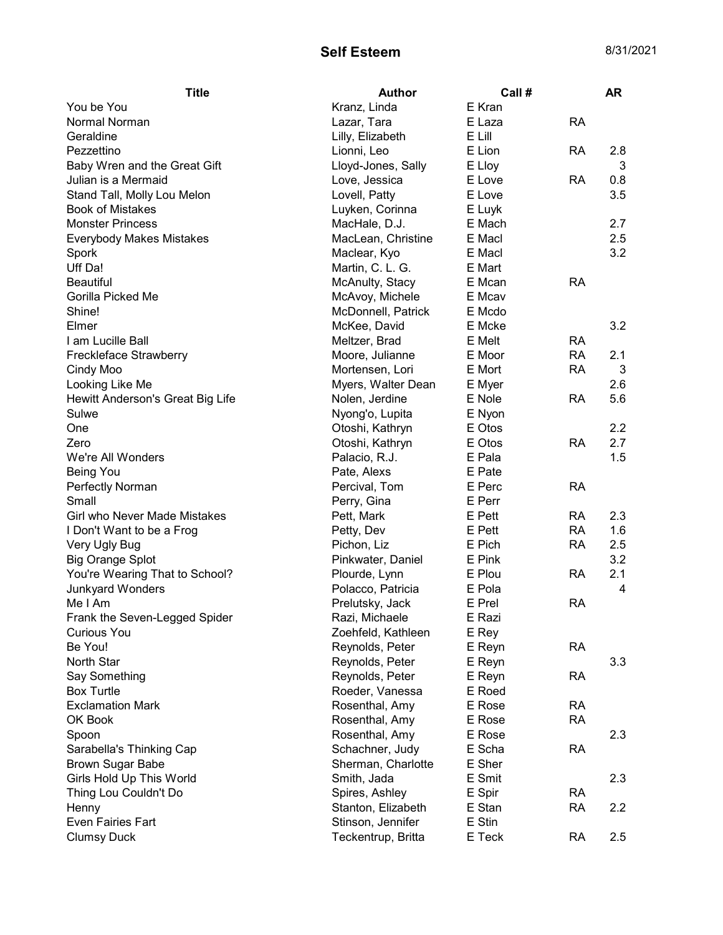## Self Esteem 8/31/2021

| <b>Title</b>                        | <b>Author</b>      | Call #           |           | <b>AR</b> |
|-------------------------------------|--------------------|------------------|-----------|-----------|
| You be You                          | Kranz, Linda       | E Kran           |           |           |
| Normal Norman                       | Lazar, Tara        | E Laza           | <b>RA</b> |           |
| Geraldine                           | Lilly, Elizabeth   | E Lill           |           |           |
| Pezzettino                          | Lionni, Leo        | E Lion           | <b>RA</b> | 2.8       |
| Baby Wren and the Great Gift        | Lloyd-Jones, Sally | E Lloy           |           | 3         |
| Julian is a Mermaid                 | Love, Jessica      | E Love           | RA        | 0.8       |
| Stand Tall, Molly Lou Melon         | Lovell, Patty      | E Love           |           | 3.5       |
| <b>Book of Mistakes</b>             | Luyken, Corinna    | E Luyk           |           |           |
| <b>Monster Princess</b>             | MacHale, D.J.      | E Mach           |           | 2.7       |
| <b>Everybody Makes Mistakes</b>     | MacLean, Christine | E Macl           |           | 2.5       |
| Spork                               | Maclear, Kyo       | E Macl           |           | 3.2       |
| Uff Da!                             | Martin, C. L. G.   | E Mart           |           |           |
| <b>Beautiful</b>                    | McAnulty, Stacy    | E Mcan           | <b>RA</b> |           |
| Gorilla Picked Me                   | McAvoy, Michele    | E Mcav           |           |           |
| Shine!                              | McDonnell, Patrick | E Mcdo           |           |           |
| Elmer                               | McKee, David       | E Mcke           |           | 3.2       |
| I am Lucille Ball                   | Meltzer, Brad      | E Melt           | <b>RA</b> |           |
| Freckleface Strawberry              | Moore, Julianne    | E Moor           | <b>RA</b> | 2.1       |
| Cindy Moo                           | Mortensen, Lori    | E Mort           | <b>RA</b> | 3         |
| Looking Like Me                     | Myers, Walter Dean | E Myer           |           | 2.6       |
| Hewitt Anderson's Great Big Life    | Nolen, Jerdine     | E Nole           | <b>RA</b> | 5.6       |
| Sulwe                               | Nyong'o, Lupita    | E Nyon           |           |           |
| One                                 | Otoshi, Kathryn    | E Otos           |           | 2.2       |
| Zero                                | Otoshi, Kathryn    | E Otos           | <b>RA</b> | 2.7       |
| We're All Wonders                   | Palacio, R.J.      | E Pala           |           | 1.5       |
| <b>Being You</b>                    | Pate, Alexs        | E Pate           |           |           |
| Perfectly Norman                    | Percival, Tom      | E Perc           | <b>RA</b> |           |
| Small                               | Perry, Gina        | E Perr           |           |           |
| <b>Girl who Never Made Mistakes</b> | Pett, Mark         | E Pett           | <b>RA</b> | 2.3       |
| I Don't Want to be a Frog           | Petty, Dev         | E Pett           | <b>RA</b> | 1.6       |
| Very Ugly Bug                       | Pichon, Liz        | E Pich           | <b>RA</b> | 2.5       |
| <b>Big Orange Splot</b>             | Pinkwater, Daniel  | E Pink           |           | 3.2       |
| You're Wearing That to School?      | Plourde, Lynn      | E Plou           | <b>RA</b> | 2.1       |
| Junkyard Wonders                    | Polacco, Patricia  | E Pola           |           | 4         |
| Me I Am                             | Prelutsky, Jack    | E Prel           | RA        |           |
| Frank the Seven-Legged Spider       | Razi, Michaele     | E Razi           |           |           |
| <b>Curious You</b>                  | Zoehfeld, Kathleen | E Rey            |           |           |
| Be You!                             | Reynolds, Peter    | E Reyn           | <b>RA</b> |           |
| North Star                          | Reynolds, Peter    | E Reyn           |           | 3.3       |
|                                     |                    |                  | <b>RA</b> |           |
| Say Something<br><b>Box Turtle</b>  | Reynolds, Peter    | E Reyn<br>E Roed |           |           |
| <b>Exclamation Mark</b>             | Roeder, Vanessa    |                  |           |           |
|                                     | Rosenthal, Amy     | E Rose           | <b>RA</b> |           |
| OK Book                             | Rosenthal, Amy     | E Rose           | <b>RA</b> |           |
| Spoon                               | Rosenthal, Amy     | E Rose           |           | 2.3       |
| Sarabella's Thinking Cap            | Schachner, Judy    | E Scha           | <b>RA</b> |           |
| <b>Brown Sugar Babe</b>             | Sherman, Charlotte | E Sher           |           |           |
| Girls Hold Up This World            | Smith, Jada        | E Smit           |           | 2.3       |
| Thing Lou Couldn't Do               | Spires, Ashley     | E Spir           | <b>RA</b> |           |
| Henny                               | Stanton, Elizabeth | E Stan           | <b>RA</b> | 2.2       |
| <b>Even Fairies Fart</b>            | Stinson, Jennifer  | E Stin           |           |           |
| <b>Clumsy Duck</b>                  | Teckentrup, Britta | E Teck           | <b>RA</b> | 2.5       |